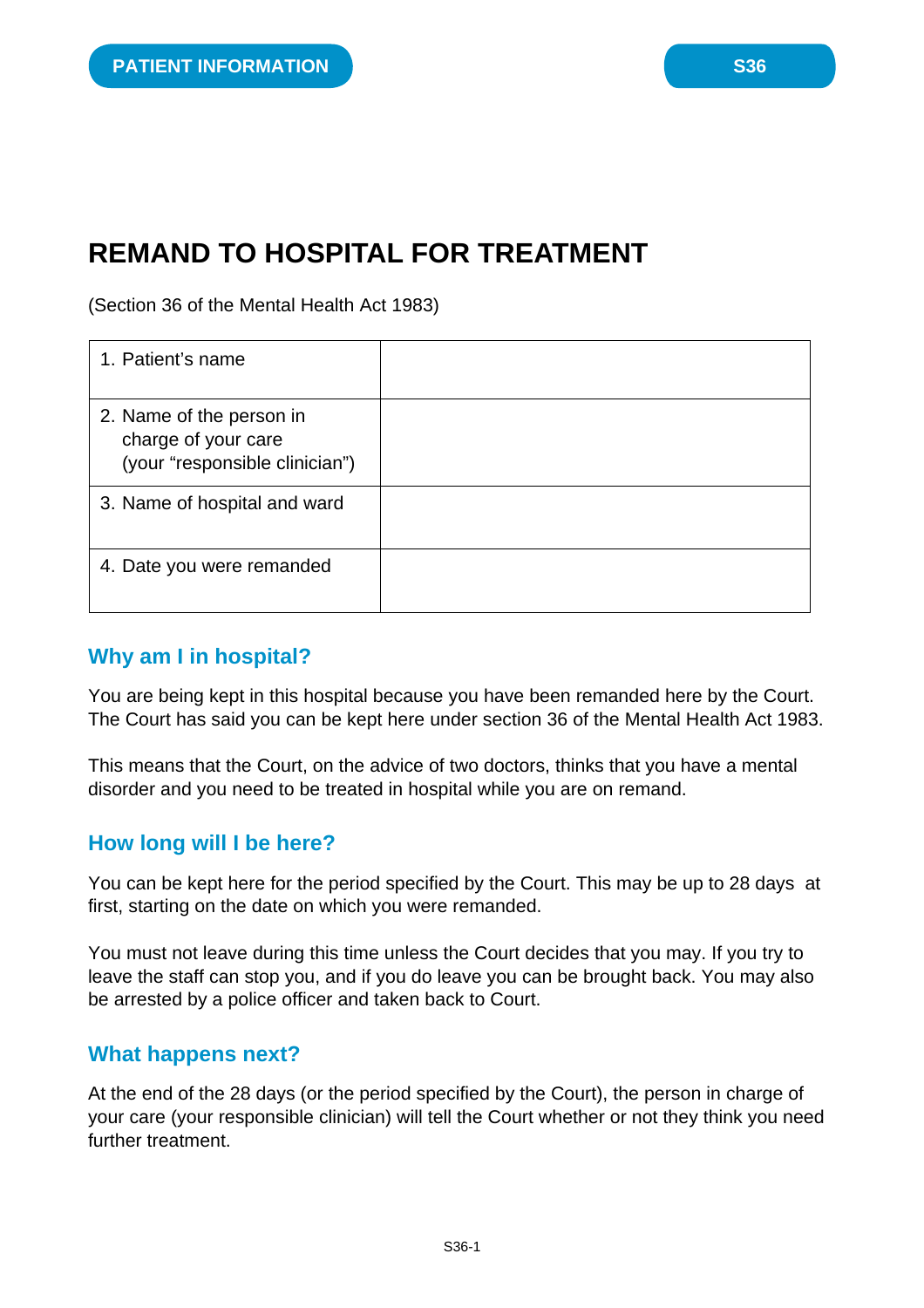# **REMAND TO HOSPITAL FOR TREATMENT**

(Section 36 of the Mental Health Act 1983)

| 1. Patient's name                                                                 |  |
|-----------------------------------------------------------------------------------|--|
| 2. Name of the person in<br>charge of your care<br>(your "responsible clinician") |  |
| 3. Name of hospital and ward                                                      |  |
| 4. Date you were remanded                                                         |  |

#### **Why am I in hospital?**

You are being kept in this hospital because you have been remanded here by the Court. The Court has said you can be kept here under section 36 of the Mental Health Act 1983.

This means that the Court, on the advice of two doctors, thinks that you have a mental disorder and you need to be treated in hospital while you are on remand.

#### **How long will I be here?**

You can be kept here for the period specified by the Court. This may be up to 28 days at first, starting on the date on which you were remanded.

You must not leave during this time unless the Court decides that you may. If you try to leave the staff can stop you, and if you do leave you can be brought back. You may also be arrested by a police officer and taken back to Court.

#### **What happens next?**

At the end of the 28 days (or the period specified by the Court), the person in charge of your care (your responsible clinician) will tell the Court whether or not they think you need further treatment.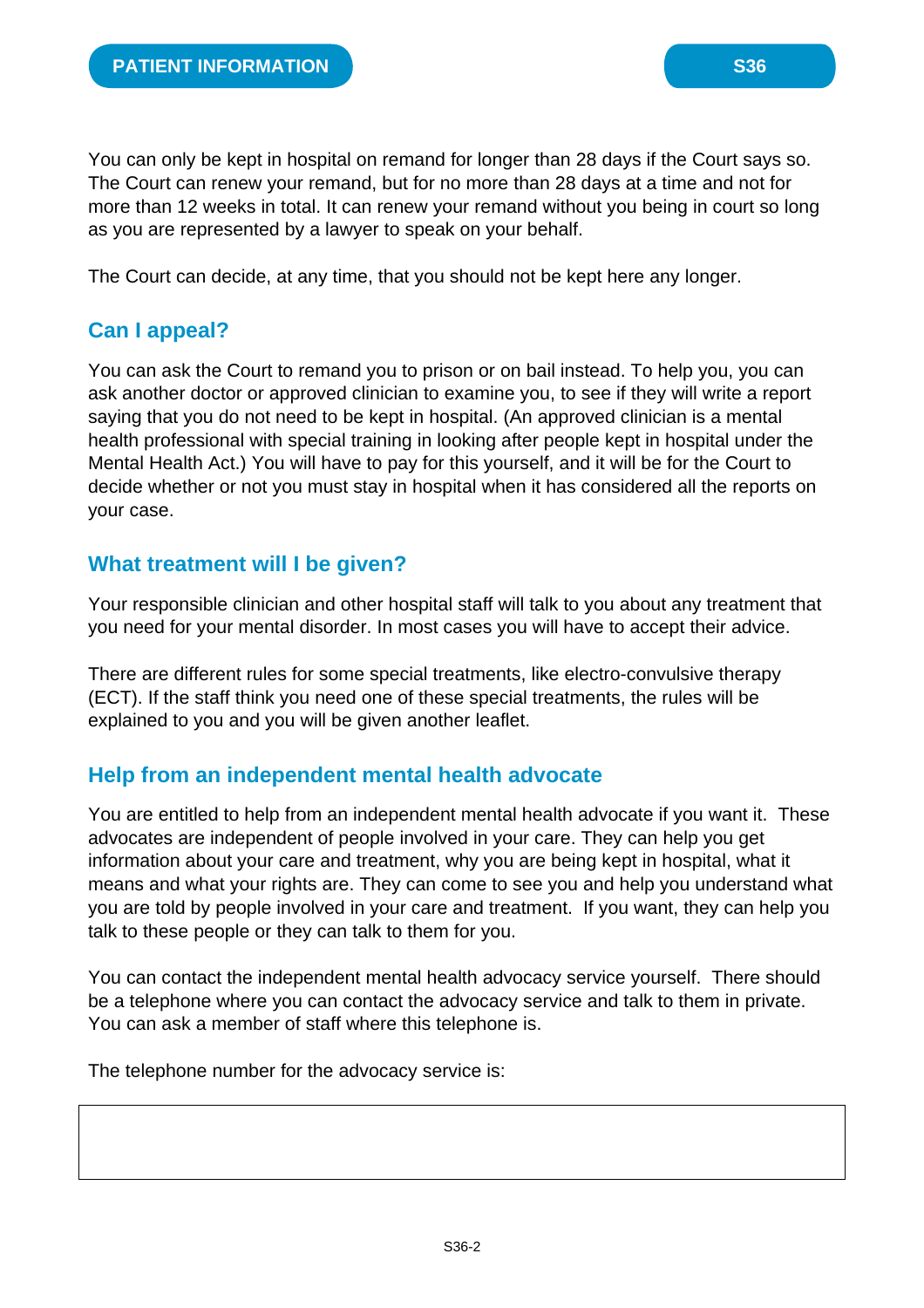You can only be kept in hospital on remand for longer than 28 days if the Court says so. The Court can renew your remand, but for no more than 28 days at a time and not for more than 12 weeks in total. It can renew your remand without you being in court so long as you are represented by a lawyer to speak on your behalf.

The Court can decide, at any time, that you should not be kept here any longer.

# **Can I appeal?**

You can ask the Court to remand you to prison or on bail instead. To help you, you can ask another doctor or approved clinician to examine you, to see if they will write a report saying that you do not need to be kept in hospital. (An approved clinician is a mental health professional with special training in looking after people kept in hospital under the Mental Health Act.) You will have to pay for this yourself, and it will be for the Court to decide whether or not you must stay in hospital when it has considered all the reports on your case.

#### **What treatment will I be given?**

Your responsible clinician and other hospital staff will talk to you about any treatment that you need for your mental disorder. In most cases you will have to accept their advice.

There are different rules for some special treatments, like electro-convulsive therapy (ECT). If the staff think you need one of these special treatments, the rules will be explained to you and you will be given another leaflet.

# **Help from an independent mental health advocate**

You are entitled to help from an independent mental health advocate if you want it. These advocates are independent of people involved in your care. They can help you get information about your care and treatment, why you are being kept in hospital, what it means and what your rights are. They can come to see you and help you understand what you are told by people involved in your care and treatment. If you want, they can help you talk to these people or they can talk to them for you.

You can contact the independent mental health advocacy service yourself. There should be a telephone where you can contact the advocacy service and talk to them in private. You can ask a member of staff where this telephone is.

The telephone number for the advocacy service is: